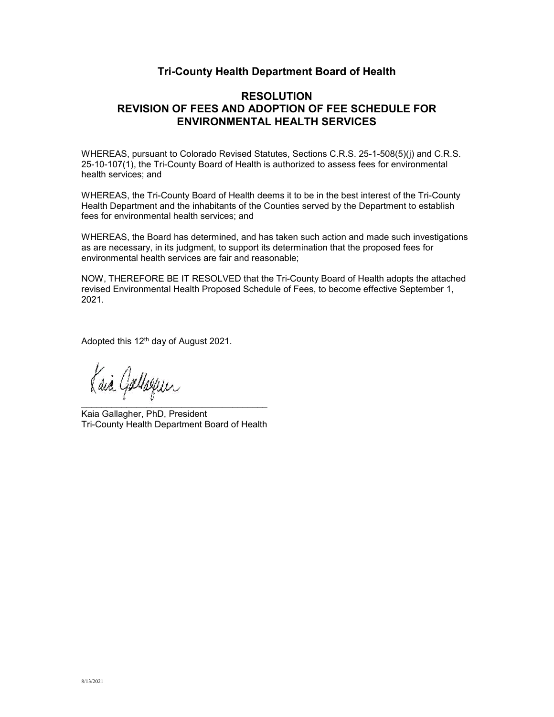## **Tri-County Health Department Board of Health**

# **RESOLUTION REVISION OF FEES AND ADOPTION OF FEE SCHEDULE FOR ENVIRONMENTAL HEALTH SERVICES**

WHEREAS, pursuant to Colorado Revised Statutes, Sections C.R.S. 25-1-508(5)(j) and C.R.S. 25-10-107(1), the Tri-County Board of Health is authorized to assess fees for environmental health services; and

WHEREAS, the Tri-County Board of Health deems it to be in the best interest of the Tri-County Health Department and the inhabitants of the Counties served by the Department to establish fees for environmental health services; and

WHEREAS, the Board has determined, and has taken such action and made such investigations as are necessary, in its judgment, to support its determination that the proposed fees for environmental health services are fair and reasonable;

NOW, THEREFORE BE IT RESOLVED that the Tri-County Board of Health adopts the attached revised Environmental Health Proposed Schedule of Fees, to become effective September 1, 2021.

Adopted this 12th day of August 2021.

\_\_\_\_\_\_\_\_\_\_\_\_\_\_\_\_\_\_\_\_\_\_\_\_\_\_\_\_\_\_\_\_\_\_\_\_\_ Kaia Gallagher, PhD, President Tri-County Health Department Board of Health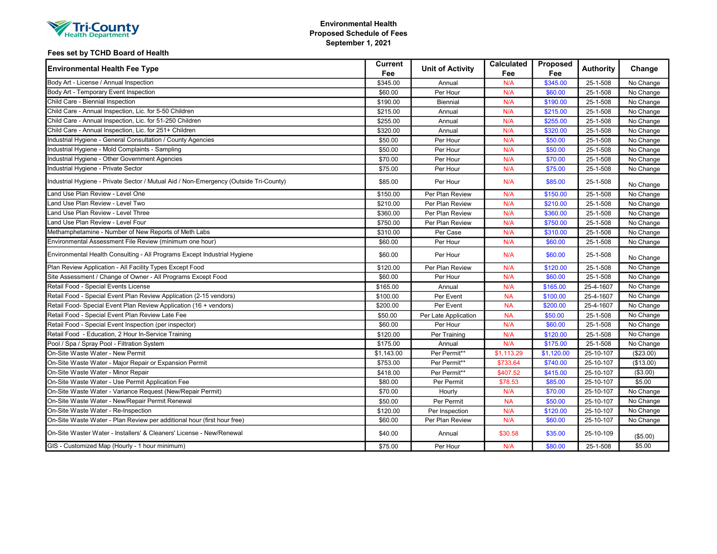| <b>WHealth Department Y</b> |
|-----------------------------|
|-----------------------------|

### Environmental Health Proposed Schedule of Fees September 1, 2021

### Fees set by TCHD Board of Health

| <b>Environmental Health Fee Type</b>                                                  | Current<br>Fee | <b>Unit of Activity</b> | <b>Calculated</b><br>Fee | Proposed<br>Fee | <b>Authority</b> | Change    |
|---------------------------------------------------------------------------------------|----------------|-------------------------|--------------------------|-----------------|------------------|-----------|
| Body Art - License / Annual Inspection                                                | \$345.00       | Annual                  | N/A                      | \$345.00        | 25-1-508         | No Change |
| Body Art - Temporary Event Inspection                                                 | \$60.00        | Per Hour                | N/A                      | \$60.00         | 25-1-508         | No Change |
| Child Care - Biennial Inspection                                                      | \$190.00       | <b>Biennial</b>         | N/A                      | \$190.00        | 25-1-508         | No Change |
| Child Care - Annual Inspection, Lic. for 5-50 Children                                | \$215.00       | Annual                  | N/A                      | \$215.00        | 25-1-508         | No Change |
| Child Care - Annual Inspection, Lic. for 51-250 Children                              | \$255.00       | Annual                  | N/A                      | \$255.00        | 25-1-508         | No Change |
| Child Care - Annual Inspection, Lic. for 251+ Children                                | \$320.00       | Annual                  | N/A                      | \$320.00        | 25-1-508         | No Change |
| Industrial Hygiene - General Consultation / County Agencies                           | \$50.00        | Per Hour                | N/A                      | \$50.00         | 25-1-508         | No Change |
| Industrial Hygiene - Mold Complaints - Sampling                                       | \$50.00        | Per Hour                | N/A                      | \$50.00         | 25-1-508         | No Change |
| Industrial Hygiene - Other Government Agencies                                        | \$70.00        | Per Hour                | N/A                      | \$70.00         | 25-1-508         | No Change |
| Industrial Hygiene - Private Sector                                                   | \$75.00        | Per Hour                | N/A                      | \$75.00         | 25-1-508         | No Change |
| Industrial Hygiene - Private Sector / Mutual Aid / Non-Emergency (Outside Tri-County) | \$85.00        | Per Hour                | N/A                      | \$85.00         | 25-1-508         | No Change |
| Land Use Plan Review - Level One                                                      | \$150.00       | Per Plan Review         | N/A                      | \$150.00        | 25-1-508         | No Change |
| and Use Plan Review - Level Two                                                       | \$210.00       | Per Plan Review         | N/A                      | \$210.00        | 25-1-508         | No Change |
| and Use Plan Review - Level Three                                                     | \$360.00       | Per Plan Review         | N/A                      | \$360.00        | 25-1-508         | No Change |
| and Use Plan Review - Level Four                                                      | \$750.00       | Per Plan Review         | N/A                      | \$750.00        | 25-1-508         | No Change |
| Methamphetamine - Number of New Reports of Meth Labs                                  | \$310.00       | Per Case                | N/A                      | \$310.00        | 25-1-508         | No Change |
| Environmental Assessment File Review (minimum one hour)                               | \$60.00        | Per Hour                | N/A                      | \$60.00         | 25-1-508         | No Change |
| Environmental Health Consulting - All Programs Except Industrial Hygiene              | \$60.00        | Per Hour                | N/A                      | \$60.00         | 25-1-508         | No Change |
| Plan Review Application - All Facility Types Except Food                              | \$120.00       | Per Plan Review         | N/A                      | \$120.00        | 25-1-508         | No Change |
| Site Assessment / Change of Owner - All Programs Except Food                          | \$60.00        | Per Hour                | N/A                      | \$60.00         | 25-1-508         | No Change |
| Retail Food - Special Events License                                                  | \$165.00       | Annual                  | N/A                      | \$165.00        | 25-4-1607        | No Change |
| Retail Food - Special Event Plan Review Application (2-15 vendors)                    | \$100.00       | Per Event               | <b>NA</b>                | \$100.00        | 25-4-1607        | No Change |
| Retail Food- Special Event Plan Review Application (16 + vendors)                     | \$200.00       | Per Event               | <b>NA</b>                | \$200.00        | 25-4-1607        | No Change |
| Retail Food - Special Event Plan Review Late Fee                                      | \$50.00        | Per Late Application    | <b>NA</b>                | \$50.00         | 25-1-508         | No Change |
| Retail Food - Special Event Inspection (per inspector)                                | \$60.00        | Per Hour                | N/A                      | \$60.00         | 25-1-508         | No Change |
| Retail Food - Education, 2 Hour In-Service Training                                   | \$120.00       | Per Training            | N/A                      | \$120.00        | 25-1-508         | No Change |
| Pool / Spa / Spray Pool - Filtration System                                           | \$175.00       | Annual                  | N/A                      | \$175.00        | 25-1-508         | No Change |
| On-Site Waste Water - New Permit                                                      | \$1,143.00     | Per Permit**            | \$1,113.29               | \$1,120.00      | 25-10-107        | (\$23.00) |
| On-Site Waste Water - Major Repair or Expansion Permit                                | \$753.00       | Per Permit**            | \$733.64                 | \$740.00        | 25-10-107        | (\$13.00) |
| On-Site Waste Water - Minor Repair                                                    | \$418.00       | Per Permit**            | \$407.52                 | \$415.00        | 25-10-107        | (\$3.00)  |
| On-Site Waste Water - Use Permit Application Fee                                      | \$80.00        | Per Permit              | \$78.53                  | \$85.00         | 25-10-107        | \$5.00    |
| On-Site Waste Water - Variance Request (New/Repair Permit)                            | \$70.00        | Hourly                  | N/A                      | \$70.00         | 25-10-107        | No Change |
| On-Site Waste Water - New/Repair Permit Renewal                                       | \$50.00        | Per Permit              | <b>NA</b>                | \$50.00         | 25-10-107        | No Change |
| On-Site Waste Water - Re-Inspection                                                   | \$120.00       | Per Inspection          | N/A                      | \$120.00        | 25-10-107        | No Change |
| On-Site Waste Water - Plan Review per additional hour (first hour free)               | \$60.00        | Per Plan Review         | N/A                      | \$60.00         | 25-10-107        | No Change |
| On-Site Waster Water - Installers' & Cleaners' License - New/Renewal                  | \$40.00        | Annual                  | \$30.58                  | \$35.00         | 25-10-109        | (\$5.00)  |
| GIS - Customized Map (Hourly - 1 hour minimum)                                        | \$75.00        | Per Hour                | N/A                      | \$80.00         | 25-1-508         | \$5.00    |